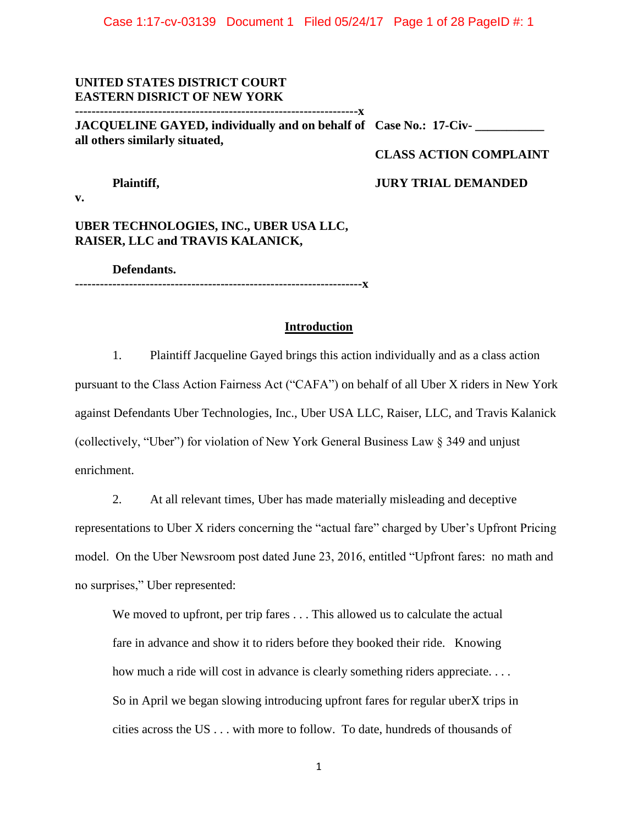Case 1:17-cv-03139 Document 1 Filed 05/24/17 Page 1 of 28 PageID #: 1

# **UNITED STATES DISTRICT COURT EASTERN DISRICT OF NEW YORK**

**--------------------------------------------------------------------x**

**JACQUELINE GAYED, individually and on behalf of Case No.: 17-Civ- \_\_\_\_\_\_\_\_\_\_\_ all others similarly situated,**

**CLASS ACTION COMPLAINT**

**Plaintiff, JURY TRIAL DEMANDED**

**v.**

**UBER TECHNOLOGIES, INC., UBER USA LLC, RAISER, LLC and TRAVIS KALANICK,**

**Defendants. ---------------------------------------------------------------------x**

### **Introduction**

1. Plaintiff Jacqueline Gayed brings this action individually and as a class action pursuant to the Class Action Fairness Act ("CAFA") on behalf of all Uber X riders in New York against Defendants Uber Technologies, Inc., Uber USA LLC, Raiser, LLC, and Travis Kalanick (collectively, "Uber") for violation of New York General Business Law § 349 and unjust enrichment.

2. At all relevant times, Uber has made materially misleading and deceptive representations to Uber X riders concerning the "actual fare" charged by Uber's Upfront Pricing model. On the Uber Newsroom post dated June 23, 2016, entitled "Upfront fares: no math and no surprises," Uber represented:

We moved to upfront, per trip fares . . . This allowed us to calculate the actual fare in advance and show it to riders before they booked their ride. Knowing how much a ride will cost in advance is clearly something riders appreciate.... So in April we began slowing introducing upfront fares for regular uberX trips in cities across the US . . . with more to follow. To date, hundreds of thousands of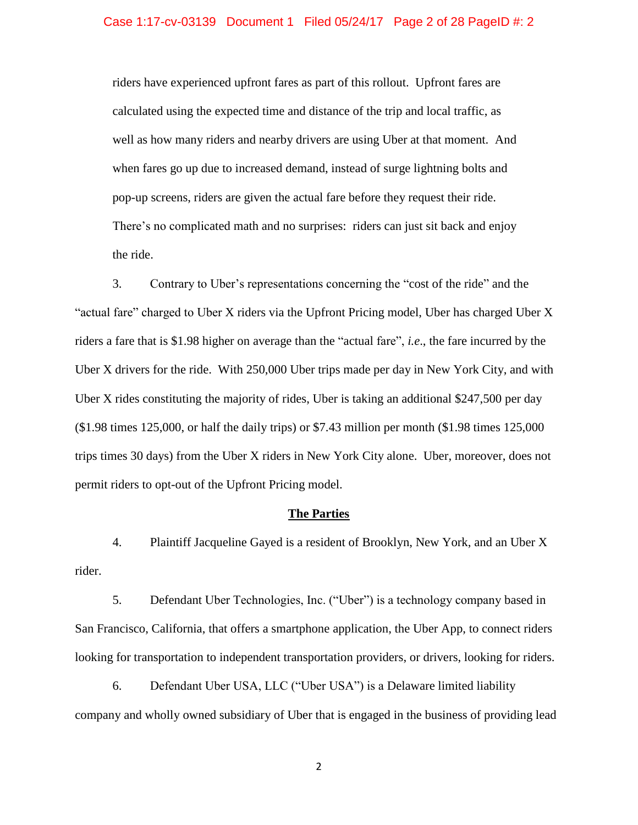### Case 1:17-cv-03139 Document 1 Filed 05/24/17 Page 2 of 28 PageID #: 2

riders have experienced upfront fares as part of this rollout. Upfront fares are calculated using the expected time and distance of the trip and local traffic, as well as how many riders and nearby drivers are using Uber at that moment. And when fares go up due to increased demand, instead of surge lightning bolts and pop-up screens, riders are given the actual fare before they request their ride. There's no complicated math and no surprises: riders can just sit back and enjoy the ride.

3. Contrary to Uber's representations concerning the "cost of the ride" and the "actual fare" charged to Uber X riders via the Upfront Pricing model, Uber has charged Uber X riders a fare that is \$1.98 higher on average than the "actual fare", *i.e*., the fare incurred by the Uber X drivers for the ride. With 250,000 Uber trips made per day in New York City, and with Uber X rides constituting the majority of rides, Uber is taking an additional \$247,500 per day (\$1.98 times 125,000, or half the daily trips) or \$7.43 million per month (\$1.98 times 125,000 trips times 30 days) from the Uber X riders in New York City alone. Uber, moreover, does not permit riders to opt-out of the Upfront Pricing model.

### **The Parties**

4. Plaintiff Jacqueline Gayed is a resident of Brooklyn, New York, and an Uber X rider.

5. Defendant Uber Technologies, Inc. ("Uber") is a technology company based in San Francisco, California, that offers a smartphone application, the Uber App, to connect riders looking for transportation to independent transportation providers, or drivers, looking for riders.

6. Defendant Uber USA, LLC ("Uber USA") is a Delaware limited liability company and wholly owned subsidiary of Uber that is engaged in the business of providing lead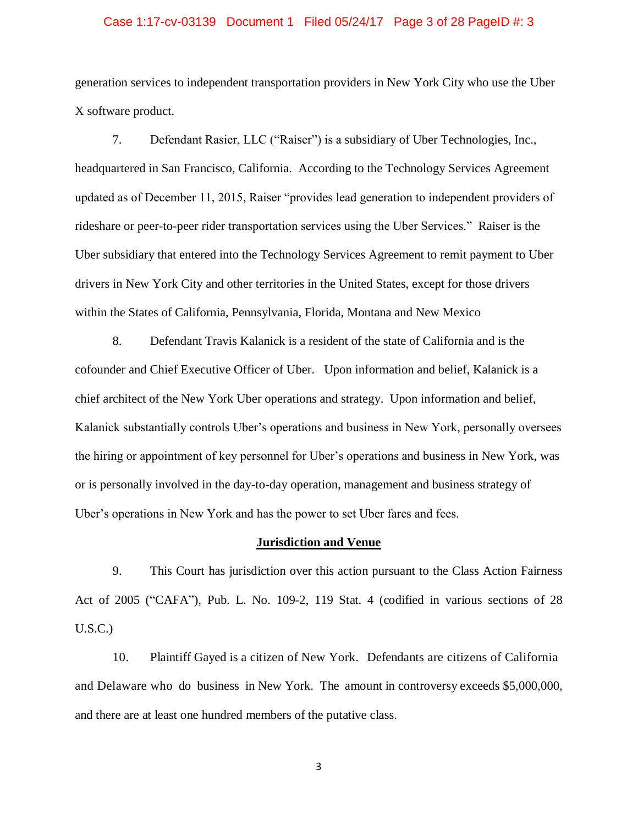### Case 1:17-cv-03139 Document 1 Filed 05/24/17 Page 3 of 28 PageID #: 3

generation services to independent transportation providers in New York City who use the Uber X software product.

7. Defendant Rasier, LLC ("Raiser") is a subsidiary of Uber Technologies, Inc., headquartered in San Francisco, California. According to the Technology Services Agreement updated as of December 11, 2015, Raiser "provides lead generation to independent providers of rideshare or peer-to-peer rider transportation services using the Uber Services." Raiser is the Uber subsidiary that entered into the Technology Services Agreement to remit payment to Uber drivers in New York City and other territories in the United States, except for those drivers within the States of California, Pennsylvania, Florida, Montana and New Mexico

8. Defendant Travis Kalanick is a resident of the state of California and is the cofounder and Chief Executive Officer of Uber. Upon information and belief, Kalanick is a chief architect of the New York Uber operations and strategy. Upon information and belief, Kalanick substantially controls Uber's operations and business in New York, personally oversees the hiring or appointment of key personnel for Uber's operations and business in New York, was or is personally involved in the day-to-day operation, management and business strategy of Uber's operations in New York and has the power to set Uber fares and fees.

#### **Jurisdiction and Venue**

9. This Court has jurisdiction over this action pursuant to the Class Action Fairness Act of 2005 ("CAFA"), Pub. L. No. 109-2, 119 Stat. 4 (codified in various sections of 28  $U.S.C.$ )

10. Plaintiff Gayed is a citizen of New York. Defendants are citizens of California and Delaware who do business in New York. The amount in controversy exceeds \$5,000,000, and there are at least one hundred members of the putative class.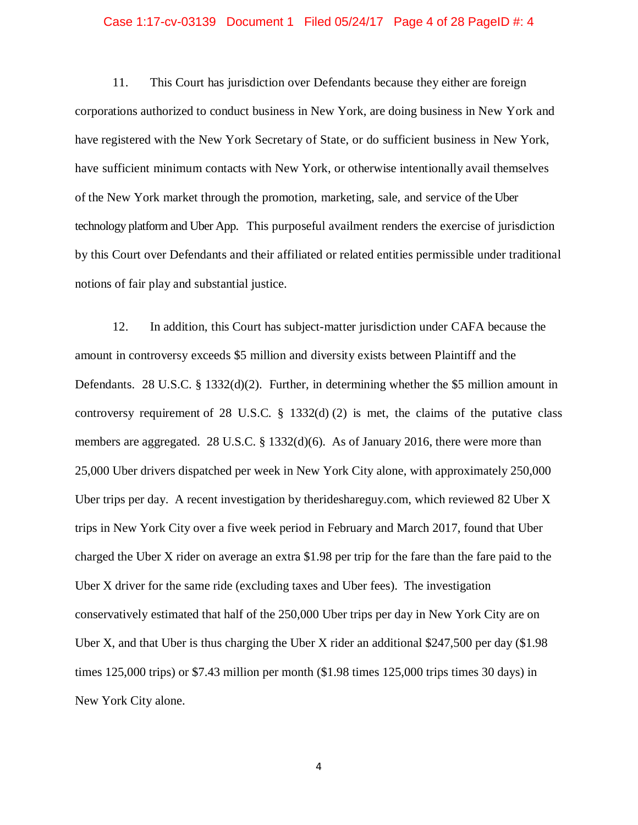### Case 1:17-cv-03139 Document 1 Filed 05/24/17 Page 4 of 28 PageID #: 4

11. This Court has jurisdiction over Defendants because they either are foreign corporations authorized to conduct business in New York, are doing business in New York and have registered with the New York Secretary of State, or do sufficient business in New York, have sufficient minimum contacts with New York, or otherwise intentionally avail themselves of the New York market through the promotion, marketing, sale, and service of the Uber technology platform and Uber App. This purposeful availment renders the exercise of jurisdiction by this Court over Defendants and their affiliated or related entities permissible under traditional notions of fair play and substantial justice.

12. In addition, this Court has subject-matter jurisdiction under CAFA because the amount in controversy exceeds \$5 million and diversity exists between Plaintiff and the Defendants. 28 U.S.C. § 1332(d)(2). Further, in determining whether the \$5 million amount in controversy requirement of 28 U.S.C.  $\S$  1332(d) (2) is met, the claims of the putative class members are aggregated. 28 U.S.C. § 1332(d)(6). As of January 2016, there were more than 25,000 Uber drivers dispatched per week in New York City alone, with approximately 250,000 Uber trips per day. A recent investigation by therideshareguy.com, which reviewed 82 Uber X trips in New York City over a five week period in February and March 2017, found that Uber charged the Uber X rider on average an extra \$1.98 per trip for the fare than the fare paid to the Uber X driver for the same ride (excluding taxes and Uber fees). The investigation conservatively estimated that half of the 250,000 Uber trips per day in New York City are on Uber X, and that Uber is thus charging the Uber X rider an additional \$247,500 per day (\$1.98 times 125,000 trips) or \$7.43 million per month (\$1.98 times 125,000 trips times 30 days) in New York City alone.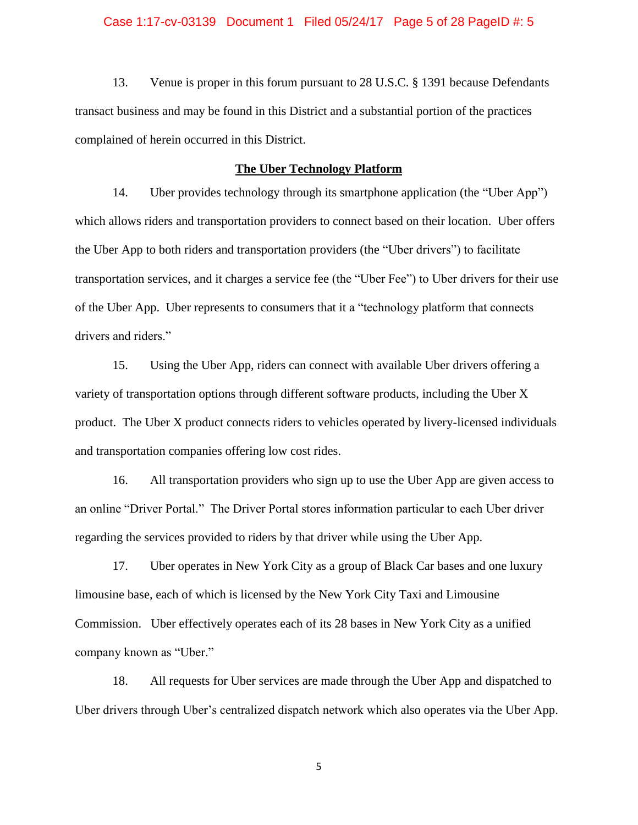### Case 1:17-cv-03139 Document 1 Filed 05/24/17 Page 5 of 28 PageID #: 5

13. Venue is proper in this forum pursuant to 28 U.S.C. § 1391 because Defendants transact business and may be found in this District and a substantial portion of the practices complained of herein occurred in this District.

### **The Uber Technology Platform**

14. Uber provides technology through its smartphone application (the "Uber App") which allows riders and transportation providers to connect based on their location. Uber offers the Uber App to both riders and transportation providers (the "Uber drivers") to facilitate transportation services, and it charges a service fee (the "Uber Fee") to Uber drivers for their use of the Uber App. Uber represents to consumers that it a "technology platform that connects drivers and riders."

15. Using the Uber App, riders can connect with available Uber drivers offering a variety of transportation options through different software products, including the Uber X product. The Uber X product connects riders to vehicles operated by livery-licensed individuals and transportation companies offering low cost rides.

16. All transportation providers who sign up to use the Uber App are given access to an online "Driver Portal." The Driver Portal stores information particular to each Uber driver regarding the services provided to riders by that driver while using the Uber App.

17. Uber operates in New York City as a group of Black Car bases and one luxury limousine base, each of which is licensed by the New York City Taxi and Limousine Commission. Uber effectively operates each of its 28 bases in New York City as a unified company known as "Uber."

18. All requests for Uber services are made through the Uber App and dispatched to Uber drivers through Uber's centralized dispatch network which also operates via the Uber App.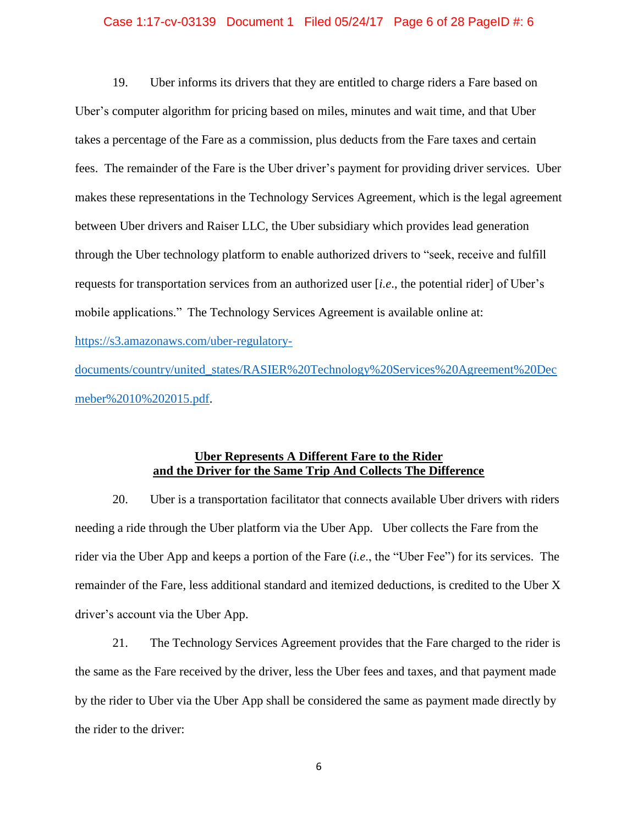### Case 1:17-cv-03139 Document 1 Filed 05/24/17 Page 6 of 28 PageID #: 6

19. Uber informs its drivers that they are entitled to charge riders a Fare based on Uber's computer algorithm for pricing based on miles, minutes and wait time, and that Uber takes a percentage of the Fare as a commission, plus deducts from the Fare taxes and certain fees. The remainder of the Fare is the Uber driver's payment for providing driver services. Uber makes these representations in the Technology Services Agreement, which is the legal agreement between Uber drivers and Raiser LLC, the Uber subsidiary which provides lead generation through the Uber technology platform to enable authorized drivers to "seek, receive and fulfill requests for transportation services from an authorized user [*i.e*., the potential rider] of Uber's mobile applications." The Technology Services Agreement is available online at:

[https://s3.amazonaws.com/uber-regulatory-](https://s3.amazonaws.com/uber-regulatory-documents/country/united_states/RASIER%20Technology%20Services%20Agreement%20Decmeber%2010%202015.pdf)

[documents/country/united\\_states/RASIER%20Technology%20Services%20Agreement%20Dec](https://s3.amazonaws.com/uber-regulatory-documents/country/united_states/RASIER%20Technology%20Services%20Agreement%20Decmeber%2010%202015.pdf) [meber%2010%202015.pdf.](https://s3.amazonaws.com/uber-regulatory-documents/country/united_states/RASIER%20Technology%20Services%20Agreement%20Decmeber%2010%202015.pdf)

# **Uber Represents A Different Fare to the Rider and the Driver for the Same Trip And Collects The Difference**

20. Uber is a transportation facilitator that connects available Uber drivers with riders needing a ride through the Uber platform via the Uber App. Uber collects the Fare from the rider via the Uber App and keeps a portion of the Fare (*i.e*., the "Uber Fee") for its services. The remainder of the Fare, less additional standard and itemized deductions, is credited to the Uber X driver's account via the Uber App.

21. The Technology Services Agreement provides that the Fare charged to the rider is the same as the Fare received by the driver, less the Uber fees and taxes, and that payment made by the rider to Uber via the Uber App shall be considered the same as payment made directly by the rider to the driver: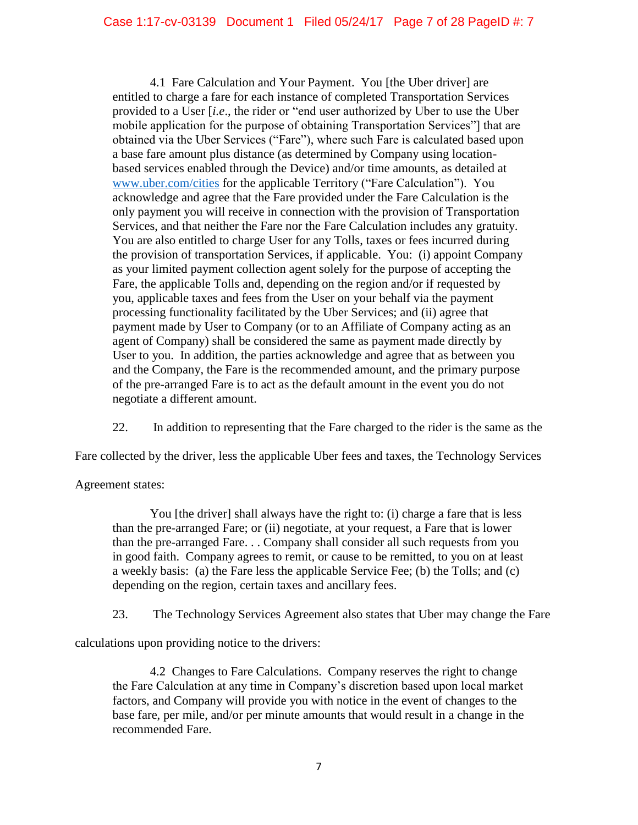4.1 Fare Calculation and Your Payment. You [the Uber driver] are entitled to charge a fare for each instance of completed Transportation Services provided to a User [*i.e*., the rider or "end user authorized by Uber to use the Uber mobile application for the purpose of obtaining Transportation Services"] that are obtained via the Uber Services ("Fare"), where such Fare is calculated based upon a base fare amount plus distance (as determined by Company using locationbased services enabled through the Device) and/or time amounts, as detailed at [www.uber.com/cities](http://www.uber.com/cities) for the applicable Territory ("Fare Calculation"). You acknowledge and agree that the Fare provided under the Fare Calculation is the only payment you will receive in connection with the provision of Transportation Services, and that neither the Fare nor the Fare Calculation includes any gratuity. You are also entitled to charge User for any Tolls, taxes or fees incurred during the provision of transportation Services, if applicable. You: (i) appoint Company as your limited payment collection agent solely for the purpose of accepting the Fare, the applicable Tolls and, depending on the region and/or if requested by you, applicable taxes and fees from the User on your behalf via the payment processing functionality facilitated by the Uber Services; and (ii) agree that payment made by User to Company (or to an Affiliate of Company acting as an agent of Company) shall be considered the same as payment made directly by User to you. In addition, the parties acknowledge and agree that as between you and the Company, the Fare is the recommended amount, and the primary purpose of the pre-arranged Fare is to act as the default amount in the event you do not negotiate a different amount.

22. In addition to representing that the Fare charged to the rider is the same as the

Fare collected by the driver, less the applicable Uber fees and taxes, the Technology Services

### Agreement states:

You [the driver] shall always have the right to: (i) charge a fare that is less than the pre-arranged Fare; or (ii) negotiate, at your request, a Fare that is lower than the pre-arranged Fare. . . Company shall consider all such requests from you in good faith. Company agrees to remit, or cause to be remitted, to you on at least a weekly basis: (a) the Fare less the applicable Service Fee; (b) the Tolls; and (c) depending on the region, certain taxes and ancillary fees.

23. The Technology Services Agreement also states that Uber may change the Fare

calculations upon providing notice to the drivers:

4.2 Changes to Fare Calculations. Company reserves the right to change the Fare Calculation at any time in Company's discretion based upon local market factors, and Company will provide you with notice in the event of changes to the base fare, per mile, and/or per minute amounts that would result in a change in the recommended Fare.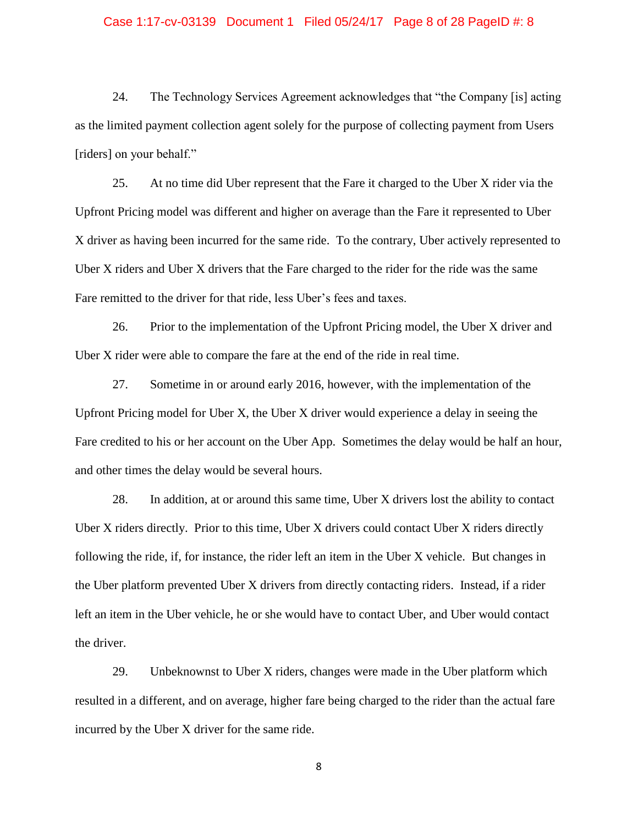### Case 1:17-cv-03139 Document 1 Filed 05/24/17 Page 8 of 28 PageID #: 8

24. The Technology Services Agreement acknowledges that "the Company [is] acting as the limited payment collection agent solely for the purpose of collecting payment from Users [riders] on your behalf."

25. At no time did Uber represent that the Fare it charged to the Uber X rider via the Upfront Pricing model was different and higher on average than the Fare it represented to Uber X driver as having been incurred for the same ride. To the contrary, Uber actively represented to Uber X riders and Uber X drivers that the Fare charged to the rider for the ride was the same Fare remitted to the driver for that ride, less Uber's fees and taxes.

26. Prior to the implementation of the Upfront Pricing model, the Uber X driver and Uber X rider were able to compare the fare at the end of the ride in real time.

27. Sometime in or around early 2016, however, with the implementation of the Upfront Pricing model for Uber X, the Uber X driver would experience a delay in seeing the Fare credited to his or her account on the Uber App. Sometimes the delay would be half an hour, and other times the delay would be several hours.

28. In addition, at or around this same time, Uber X drivers lost the ability to contact Uber X riders directly. Prior to this time, Uber X drivers could contact Uber X riders directly following the ride, if, for instance, the rider left an item in the Uber X vehicle. But changes in the Uber platform prevented Uber X drivers from directly contacting riders. Instead, if a rider left an item in the Uber vehicle, he or she would have to contact Uber, and Uber would contact the driver.

29. Unbeknownst to Uber X riders, changes were made in the Uber platform which resulted in a different, and on average, higher fare being charged to the rider than the actual fare incurred by the Uber X driver for the same ride.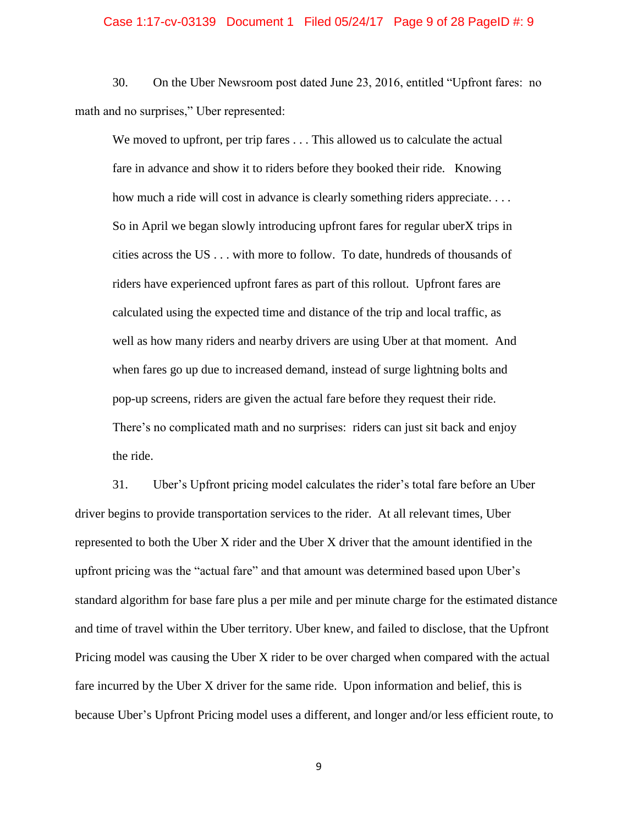### Case 1:17-cv-03139 Document 1 Filed 05/24/17 Page 9 of 28 PageID #: 9

30. On the Uber Newsroom post dated June 23, 2016, entitled "Upfront fares: no math and no surprises," Uber represented:

We moved to upfront, per trip fares . . . This allowed us to calculate the actual fare in advance and show it to riders before they booked their ride. Knowing how much a ride will cost in advance is clearly something riders appreciate.... So in April we began slowly introducing upfront fares for regular uberX trips in cities across the US . . . with more to follow. To date, hundreds of thousands of riders have experienced upfront fares as part of this rollout. Upfront fares are calculated using the expected time and distance of the trip and local traffic, as well as how many riders and nearby drivers are using Uber at that moment. And when fares go up due to increased demand, instead of surge lightning bolts and pop-up screens, riders are given the actual fare before they request their ride. There's no complicated math and no surprises: riders can just sit back and enjoy the ride.

31. Uber's Upfront pricing model calculates the rider's total fare before an Uber driver begins to provide transportation services to the rider. At all relevant times, Uber represented to both the Uber X rider and the Uber X driver that the amount identified in the upfront pricing was the "actual fare" and that amount was determined based upon Uber's standard algorithm for base fare plus a per mile and per minute charge for the estimated distance and time of travel within the Uber territory. Uber knew, and failed to disclose, that the Upfront Pricing model was causing the Uber X rider to be over charged when compared with the actual fare incurred by the Uber X driver for the same ride. Upon information and belief, this is because Uber's Upfront Pricing model uses a different, and longer and/or less efficient route, to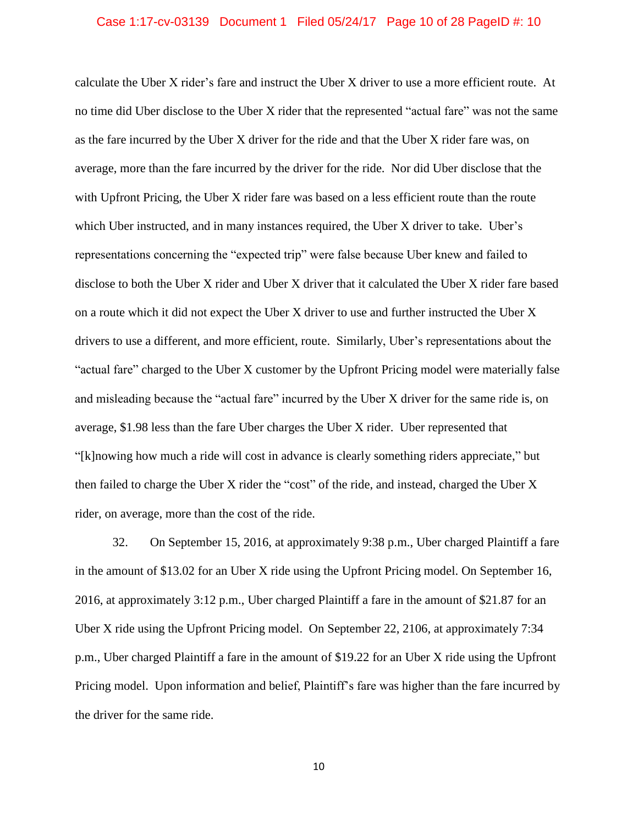#### Case 1:17-cv-03139 Document 1 Filed 05/24/17 Page 10 of 28 PageID #: 10

calculate the Uber X rider's fare and instruct the Uber X driver to use a more efficient route. At no time did Uber disclose to the Uber X rider that the represented "actual fare" was not the same as the fare incurred by the Uber X driver for the ride and that the Uber X rider fare was, on average, more than the fare incurred by the driver for the ride. Nor did Uber disclose that the with Upfront Pricing, the Uber X rider fare was based on a less efficient route than the route which Uber instructed, and in many instances required, the Uber X driver to take. Uber's representations concerning the "expected trip" were false because Uber knew and failed to disclose to both the Uber X rider and Uber X driver that it calculated the Uber X rider fare based on a route which it did not expect the Uber X driver to use and further instructed the Uber X drivers to use a different, and more efficient, route. Similarly, Uber's representations about the "actual fare" charged to the Uber X customer by the Upfront Pricing model were materially false and misleading because the "actual fare" incurred by the Uber X driver for the same ride is, on average, \$1.98 less than the fare Uber charges the Uber X rider. Uber represented that "[k]nowing how much a ride will cost in advance is clearly something riders appreciate," but then failed to charge the Uber X rider the "cost" of the ride, and instead, charged the Uber X rider, on average, more than the cost of the ride.

32. On September 15, 2016, at approximately 9:38 p.m., Uber charged Plaintiff a fare in the amount of \$13.02 for an Uber X ride using the Upfront Pricing model. On September 16, 2016, at approximately 3:12 p.m., Uber charged Plaintiff a fare in the amount of \$21.87 for an Uber X ride using the Upfront Pricing model. On September 22, 2106, at approximately 7:34 p.m., Uber charged Plaintiff a fare in the amount of \$19.22 for an Uber X ride using the Upfront Pricing model. Upon information and belief, Plaintiff's fare was higher than the fare incurred by the driver for the same ride.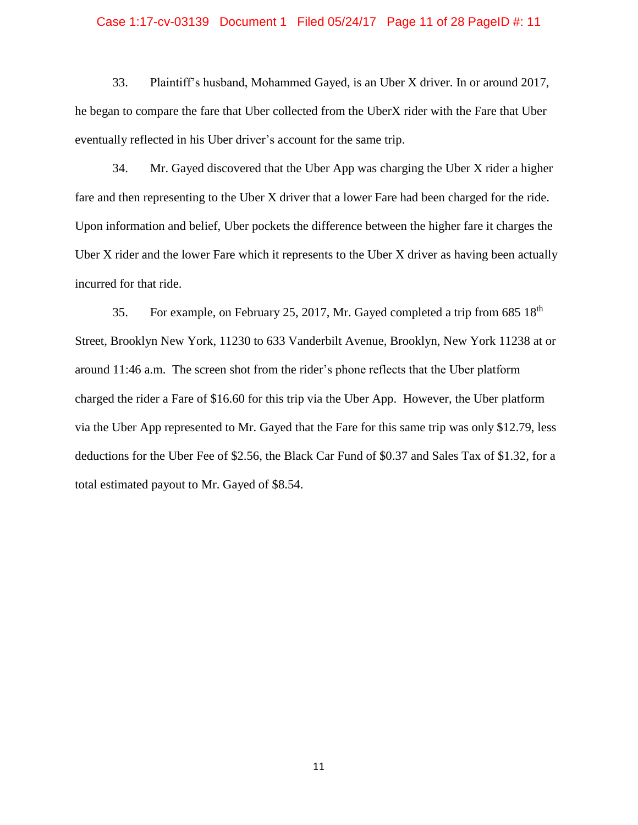### Case 1:17-cv-03139 Document 1 Filed 05/24/17 Page 11 of 28 PageID #: 11

33. Plaintiff's husband, Mohammed Gayed, is an Uber X driver. In or around 2017, he began to compare the fare that Uber collected from the UberX rider with the Fare that Uber eventually reflected in his Uber driver's account for the same trip.

34. Mr. Gayed discovered that the Uber App was charging the Uber X rider a higher fare and then representing to the Uber X driver that a lower Fare had been charged for the ride. Upon information and belief, Uber pockets the difference between the higher fare it charges the Uber X rider and the lower Fare which it represents to the Uber X driver as having been actually incurred for that ride.

35. For example, on February 25, 2017, Mr. Gayed completed a trip from 685 18<sup>th</sup> Street, Brooklyn New York, 11230 to 633 Vanderbilt Avenue, Brooklyn, New York 11238 at or around 11:46 a.m. The screen shot from the rider's phone reflects that the Uber platform charged the rider a Fare of \$16.60 for this trip via the Uber App. However, the Uber platform via the Uber App represented to Mr. Gayed that the Fare for this same trip was only \$12.79, less deductions for the Uber Fee of \$2.56, the Black Car Fund of \$0.37 and Sales Tax of \$1.32, for a total estimated payout to Mr. Gayed of \$8.54.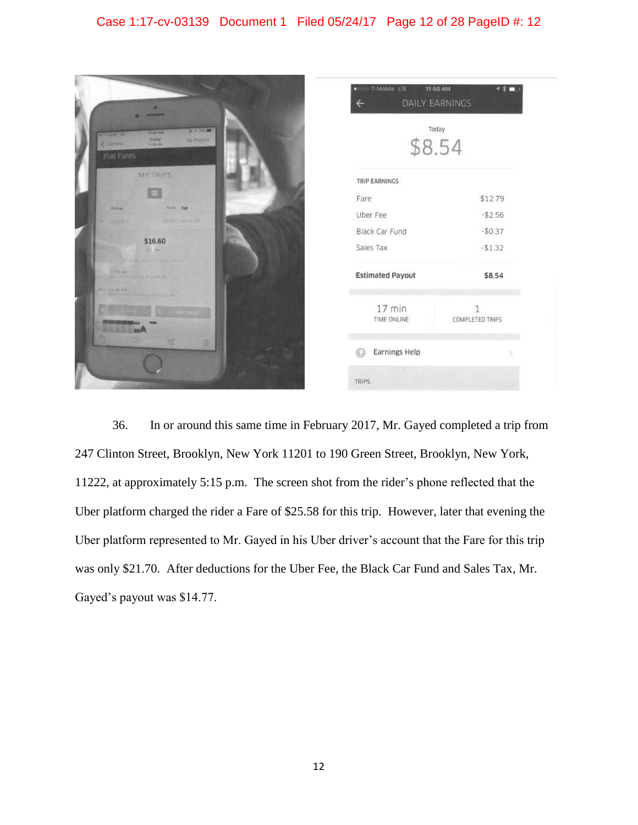| 第 4 20% BM<br><b>HIER AM</b><br>$-1257$ 122<br>Tixtay<br>All Photos<br>$&$ Carsena<br><b>THE BETT</b><br>Flat Fares | Today<br>\$8.54         |                      |
|---------------------------------------------------------------------------------------------------------------------|-------------------------|----------------------|
| MY TRIPS                                                                                                            | TRIP EARNINGS           |                      |
| $\equiv$                                                                                                            | Fare                    | \$12.79              |
| lizre Car<br><b>Pluing</b><br><b>BIGED</b> COMMANY<br><b>DOMESTIC</b><br>×                                          | Uber Fee                | $-52.56$             |
|                                                                                                                     | Black Car Fund          | $-$0.37$             |
| \$16.60<br>$\mathbb{R}$ and<br>A TH' WILKELS LINE                                                                   | Sales Tax               | $-$1.32$             |
| <b>HETSING</b><br>APL TOWN IS THE REAL PROPERTY OF                                                                  | <b>Estimated Payout</b> | \$8.54               |
| Ro Hasawa<br><b>DELIVERY OF BUILDING</b><br><b>C. Mine Betall</b>                                                   | 17 min<br>TIME ONLINE   | 1<br>COMPLETED TRIPS |
| 趣<br>総                                                                                                              | Earnings Help           |                      |

36. In or around this same time in February 2017, Mr. Gayed completed a trip from 247 Clinton Street, Brooklyn, New York 11201 to 190 Green Street, Brooklyn, New York, 11222, at approximately 5:15 p.m. The screen shot from the rider's phone reflected that the Uber platform charged the rider a Fare of \$25.58 for this trip. However, later that evening the Uber platform represented to Mr. Gayed in his Uber driver's account that the Fare for this trip was only \$21.70. After deductions for the Uber Fee, the Black Car Fund and Sales Tax, Mr. Gayed's payout was \$14.77.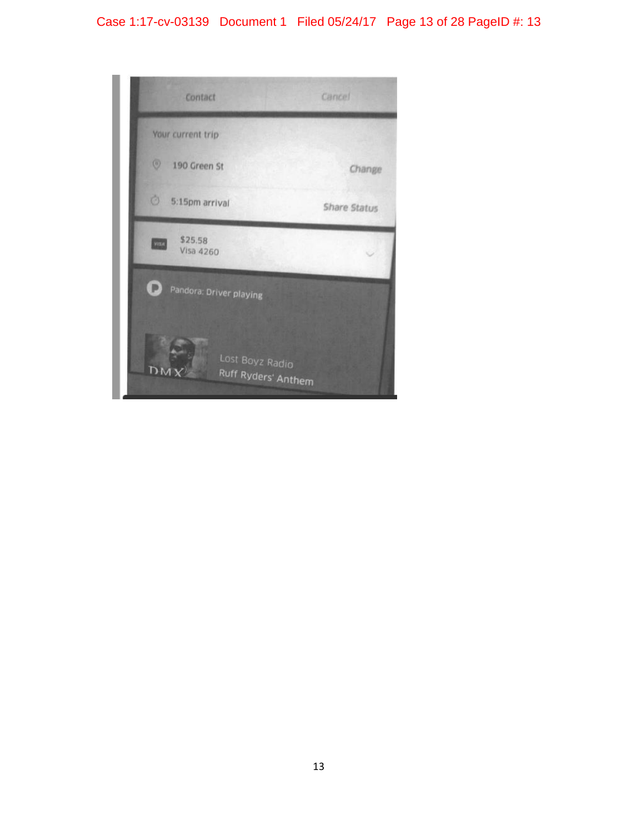# Case 1:17-cv-03139 Document 1 Filed 05/24/17 Page 13 of 28 PageID #: 13

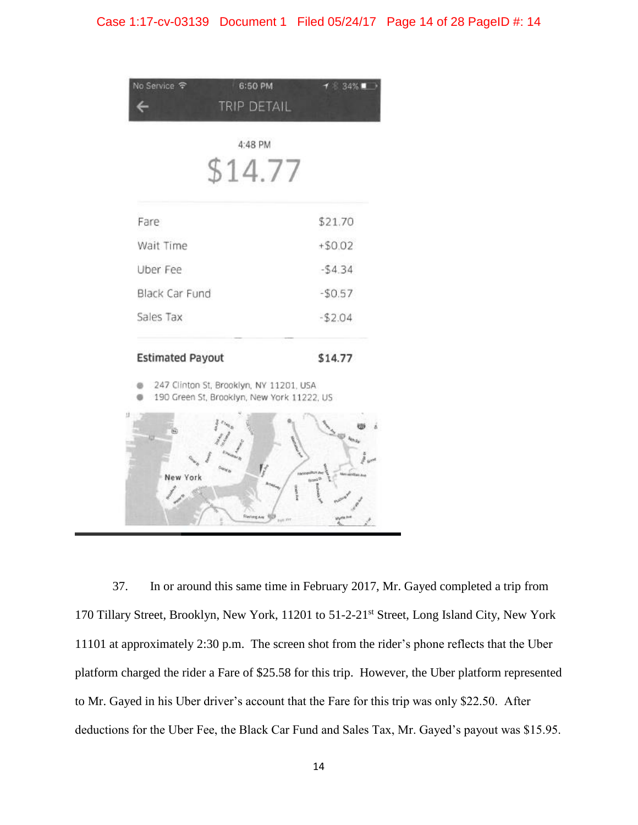## Case 1:17-cv-03139 Document 1 Filed 05/24/17 Page 14 of 28 PageID #: 14



37. In or around this same time in February 2017, Mr. Gayed completed a trip from 170 Tillary Street, Brooklyn, New York, 11201 to 51-2-21<sup>st</sup> Street, Long Island City, New York 11101 at approximately 2:30 p.m. The screen shot from the rider's phone reflects that the Uber platform charged the rider a Fare of \$25.58 for this trip. However, the Uber platform represented to Mr. Gayed in his Uber driver's account that the Fare for this trip was only \$22.50. After deductions for the Uber Fee, the Black Car Fund and Sales Tax, Mr. Gayed's payout was \$15.95.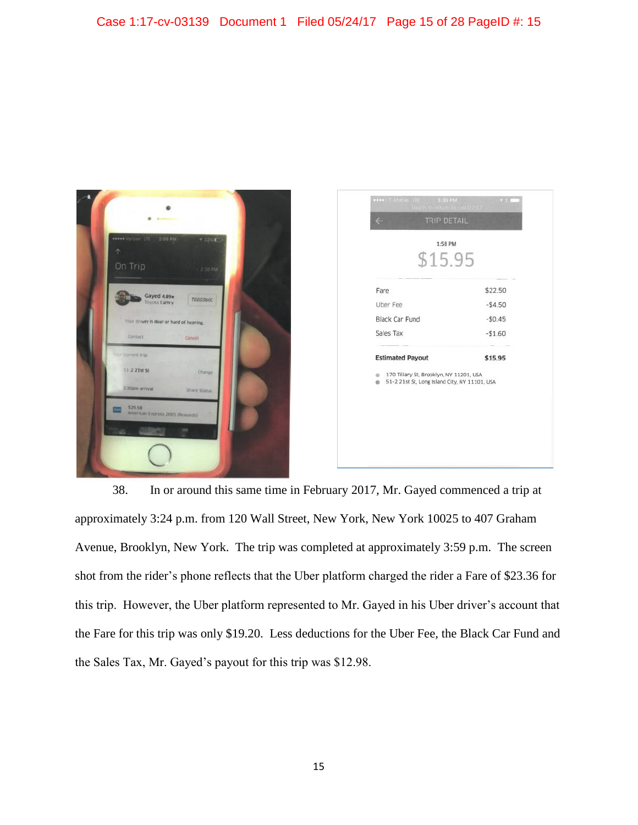

38. In or around this same time in February 2017, Mr. Gayed commenced a trip at approximately 3:24 p.m. from 120 Wall Street, New York, New York 10025 to 407 Graham Avenue, Brooklyn, New York. The trip was completed at approximately 3:59 p.m. The screen shot from the rider's phone reflects that the Uber platform charged the rider a Fare of \$23.36 for this trip. However, the Uber platform represented to Mr. Gayed in his Uber driver's account that the Fare for this trip was only \$19.20. Less deductions for the Uber Fee, the Black Car Fund and the Sales Tax, Mr. Gayed's payout for this trip was \$12.98.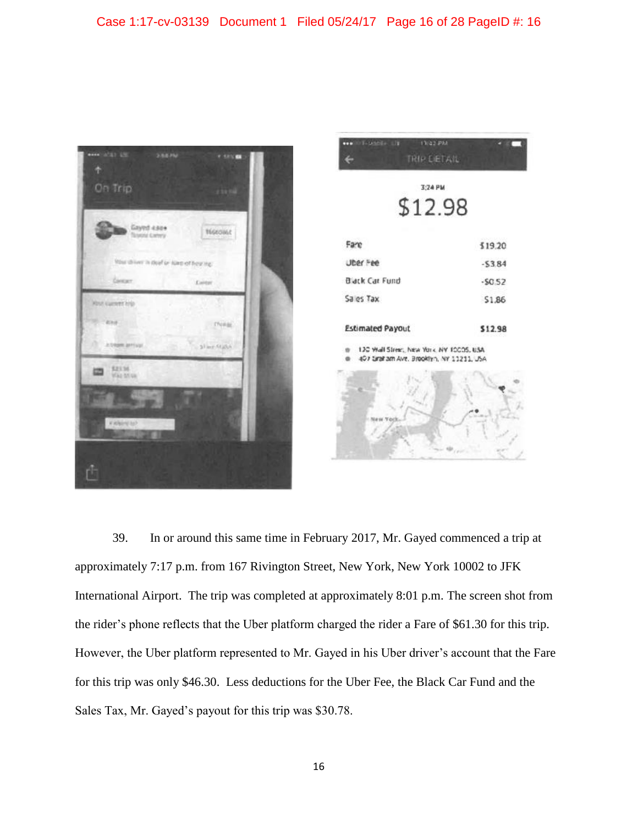

39. In or around this same time in February 2017, Mr. Gayed commenced a trip at approximately 7:17 p.m. from 167 Rivington Street, New York, New York 10002 to JFK International Airport. The trip was completed at approximately 8:01 p.m. The screen shot from the rider's phone reflects that the Uber platform charged the rider a Fare of \$61.30 for this trip. However, the Uber platform represented to Mr. Gayed in his Uber driver's account that the Fare for this trip was only \$46.30. Less deductions for the Uber Fee, the Black Car Fund and the Sales Tax, Mr. Gayed's payout for this trip was \$30.78.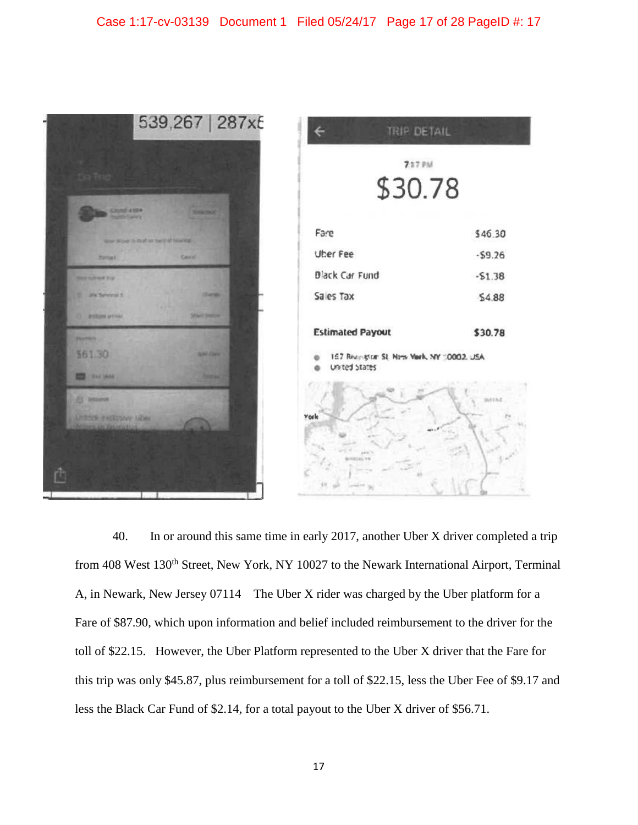

40. In or around this same time in early 2017, another Uber X driver completed a trip from 408 West 130<sup>th</sup> Street, New York, NY 10027 to the Newark International Airport, Terminal A, in Newark, New Jersey 07114 The Uber X rider was charged by the Uber platform for a Fare of \$87.90, which upon information and belief included reimbursement to the driver for the toll of \$22.15. However, the Uber Platform represented to the Uber X driver that the Fare for this trip was only \$45.87, plus reimbursement for a toll of \$22.15, less the Uber Fee of \$9.17 and less the Black Car Fund of \$2.14, for a total payout to the Uber X driver of \$56.71.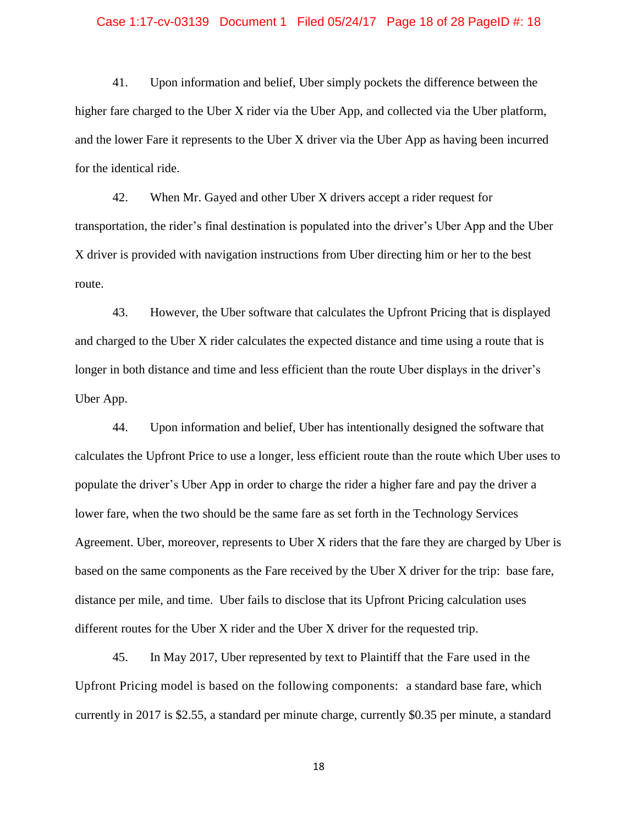## Case 1:17-cv-03139 Document 1 Filed 05/24/17 Page 18 of 28 PageID #: 18

41. Upon information and belief, Uber simply pockets the difference between the higher fare charged to the Uber X rider via the Uber App, and collected via the Uber platform, and the lower Fare it represents to the Uber X driver via the Uber App as having been incurred for the identical ride.

42. When Mr. Gayed and other Uber X drivers accept a rider request for transportation, the rider's final destination is populated into the driver's Uber App and the Uber X driver is provided with navigation instructions from Uber directing him or her to the best route.

43. However, the Uber software that calculates the Upfront Pricing that is displayed and charged to the Uber X rider calculates the expected distance and time using a route that is longer in both distance and time and less efficient than the route Uber displays in the driver's Uber App.

44. Upon information and belief, Uber has intentionally designed the software that calculates the Upfront Price to use a longer, less efficient route than the route which Uber uses to populate the driver's Uber App in order to charge the rider a higher fare and pay the driver a lower fare, when the two should be the same fare as set forth in the Technology Services Agreement. Uber, moreover, represents to Uber X riders that the fare they are charged by Uber is based on the same components as the Fare received by the Uber X driver for the trip: base fare, distance per mile, and time. Uber fails to disclose that its Upfront Pricing calculation uses different routes for the Uber X rider and the Uber X driver for the requested trip.

45. In May 2017, Uber represented by text to Plaintiff that the Fare used in the Upfront Pricing model is based on the following components: a standard base fare, which currently in 2017 is \$2.55, a standard per minute charge, currently \$0.35 per minute, a standard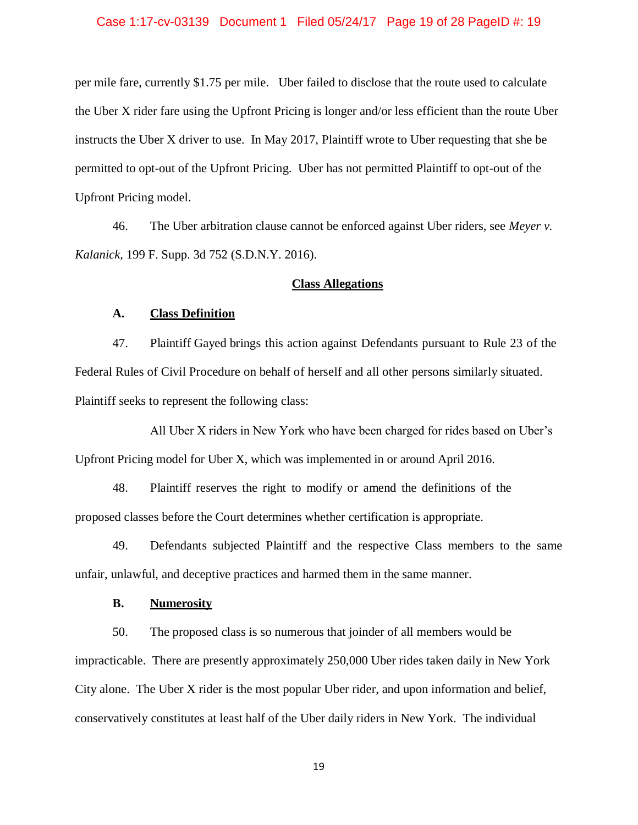per mile fare, currently \$1.75 per mile. Uber failed to disclose that the route used to calculate the Uber X rider fare using the Upfront Pricing is longer and/or less efficient than the route Uber instructs the Uber X driver to use. In May 2017, Plaintiff wrote to Uber requesting that she be permitted to opt-out of the Upfront Pricing. Uber has not permitted Plaintiff to opt-out of the Upfront Pricing model.

46. The Uber arbitration clause cannot be enforced against Uber riders, see *Meyer v. Kalanick*, 199 F. Supp. 3d 752 (S.D.N.Y. 2016).

### **Class Allegations**

#### **A. Class Definition**

47. Plaintiff Gayed brings this action against Defendants pursuant to Rule 23 of the Federal Rules of Civil Procedure on behalf of herself and all other persons similarly situated. Plaintiff seeks to represent the following class:

All Uber X riders in New York who have been charged for rides based on Uber's Upfront Pricing model for Uber X, which was implemented in or around April 2016.

48. Plaintiff reserves the right to modify or amend the definitions of the proposed classes before the Court determines whether certification is appropriate.

49. Defendants subjected Plaintiff and the respective Class members to the same unfair, unlawful, and deceptive practices and harmed them in the same manner.

# **B. Numerosity**

50. The proposed class is so numerous that joinder of all members would be impracticable. There are presently approximately 250,000 Uber rides taken daily in New York City alone. The Uber X rider is the most popular Uber rider, and upon information and belief, conservatively constitutes at least half of the Uber daily riders in New York. The individual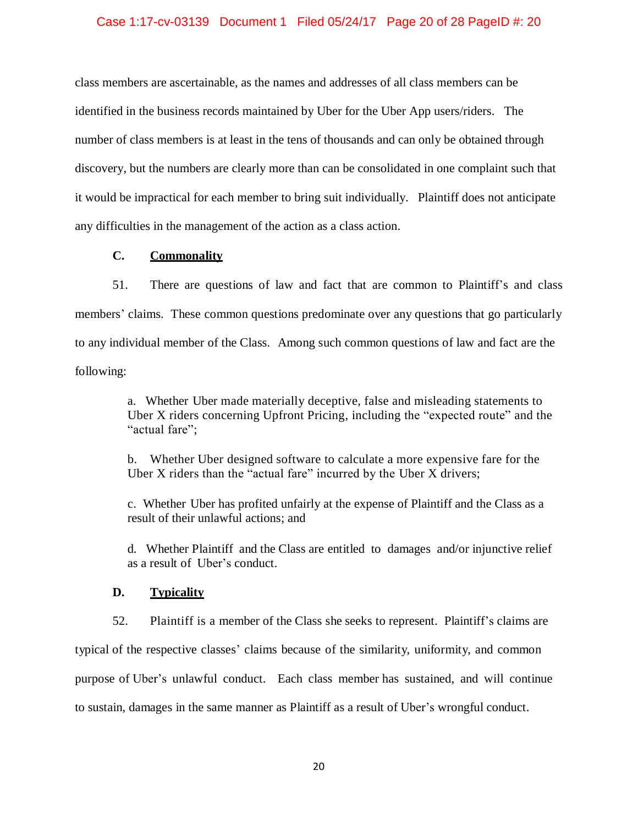### Case 1:17-cv-03139 Document 1 Filed 05/24/17 Page 20 of 28 PageID #: 20

class members are ascertainable, as the names and addresses of all class members can be identified in the business records maintained by Uber for the Uber App users/riders. The number of class members is at least in the tens of thousands and can only be obtained through discovery, but the numbers are clearly more than can be consolidated in one complaint such that it would be impractical for each member to bring suit individually. Plaintiff does not anticipate any difficulties in the management of the action as a class action.

### **C. Commonality**

51. There are questions of law and fact that are common to Plaintiff's and class members' claims. These common questions predominate over any questions that go particularly to any individual member of the Class. Among such common questions of law and fact are the following:

> a. Whether Uber made materially deceptive, false and misleading statements to Uber X riders concerning Upfront Pricing, including the "expected route" and the "actual fare":

b. Whether Uber designed software to calculate a more expensive fare for the Uber X riders than the "actual fare" incurred by the Uber X drivers;

c. Whether Uber has profited unfairly at the expense of Plaintiff and the Class as a result of their unlawful actions; and

d. Whether Plaintiff and the Class are entitled to damages and/or injunctive relief as a result of Uber's conduct.

## **D. Typicality**

52. Plaintiff is a member of the Class she seeks to represent. Plaintiff's claims are typical of the respective classes' claims because of the similarity, uniformity, and common purpose of Uber's unlawful conduct. Each class member has sustained, and will continue to sustain, damages in the same manner as Plaintiff as a result of Uber's wrongful conduct.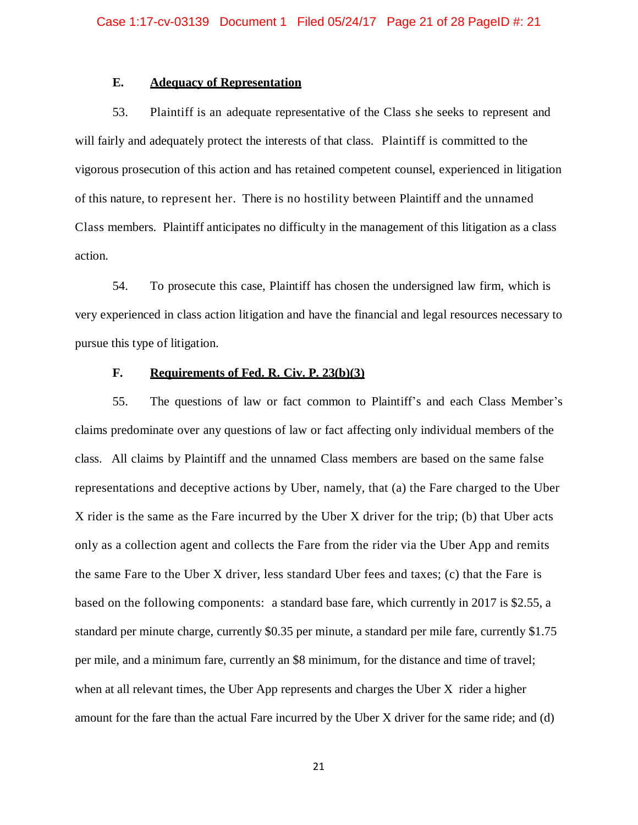# **E. Adequacy of Representation**

53. Plaintiff is an adequate representative of the Class she seeks to represent and will fairly and adequately protect the interests of that class. Plaintiff is committed to the vigorous prosecution of this action and has retained competent counsel, experienced in litigation of this nature, to represent her. There is no hostility between Plaintiff and the unnamed Class members. Plaintiff anticipates no difficulty in the management of this litigation as a class action.

54. To prosecute this case, Plaintiff has chosen the undersigned law firm, which is very experienced in class action litigation and have the financial and legal resources necessary to pursue this type of litigation.

## **F. Requirements of Fed. R. Civ. P. 23(b)(3)**

55. The questions of law or fact common to Plaintiff's and each Class Member's claims predominate over any questions of law or fact affecting only individual members of the class. All claims by Plaintiff and the unnamed Class members are based on the same false representations and deceptive actions by Uber, namely, that (a) the Fare charged to the Uber X rider is the same as the Fare incurred by the Uber X driver for the trip; (b) that Uber acts only as a collection agent and collects the Fare from the rider via the Uber App and remits the same Fare to the Uber X driver, less standard Uber fees and taxes; (c) that the Fare is based on the following components: a standard base fare, which currently in 2017 is \$2.55, a standard per minute charge, currently \$0.35 per minute, a standard per mile fare, currently \$1.75 per mile, and a minimum fare, currently an \$8 minimum, for the distance and time of travel; when at all relevant times, the Uber App represents and charges the Uber X rider a higher amount for the fare than the actual Fare incurred by the Uber X driver for the same ride; and (d)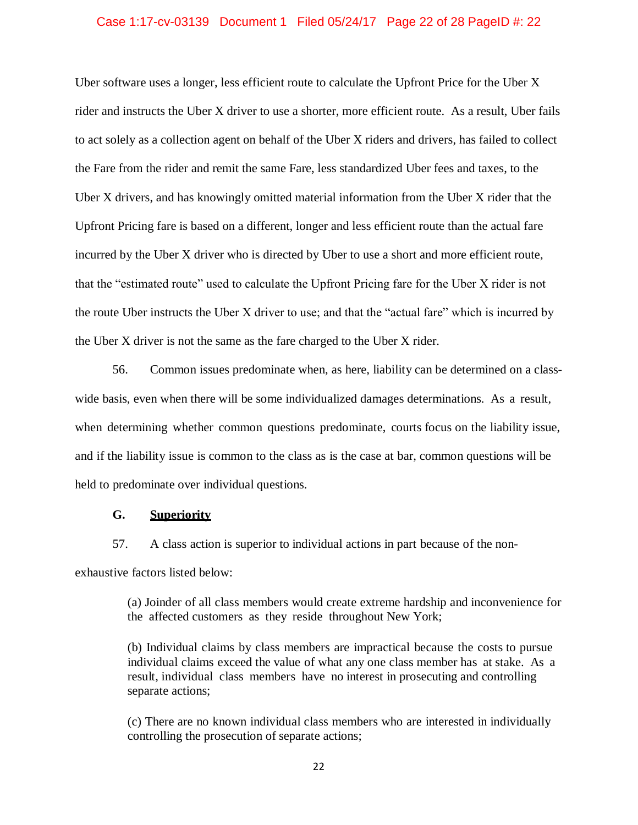#### Case 1:17-cv-03139 Document 1 Filed 05/24/17 Page 22 of 28 PageID #: 22

Uber software uses a longer, less efficient route to calculate the Upfront Price for the Uber X rider and instructs the Uber X driver to use a shorter, more efficient route. As a result, Uber fails to act solely as a collection agent on behalf of the Uber X riders and drivers, has failed to collect the Fare from the rider and remit the same Fare, less standardized Uber fees and taxes, to the Uber X drivers, and has knowingly omitted material information from the Uber X rider that the Upfront Pricing fare is based on a different, longer and less efficient route than the actual fare incurred by the Uber X driver who is directed by Uber to use a short and more efficient route, that the "estimated route" used to calculate the Upfront Pricing fare for the Uber X rider is not the route Uber instructs the Uber X driver to use; and that the "actual fare" which is incurred by the Uber X driver is not the same as the fare charged to the Uber X rider.

56. Common issues predominate when, as here, liability can be determined on a classwide basis, even when there will be some individualized damages determinations. As a result, when determining whether common questions predominate, courts focus on the liability issue, and if the liability issue is common to the class as is the case at bar, common questions will be held to predominate over individual questions.

### **G. Superiority**

57. A class action is superior to individual actions in part because of the non-

exhaustive factors listed below:

(a) Joinder of all class members would create extreme hardship and inconvenience for the affected customers as they reside throughout New York;

(b) Individual claims by class members are impractical because the costs to pursue individual claims exceed the value of what any one class member has at stake. As a result, individual class members have no interest in prosecuting and controlling separate actions;

(c) There are no known individual class members who are interested in individually controlling the prosecution of separate actions;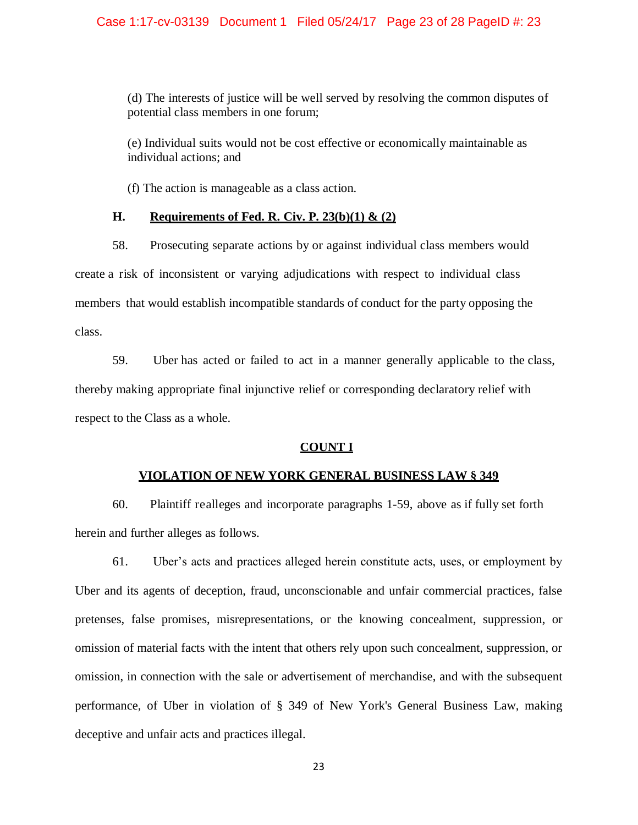(d) The interests of justice will be well served by resolving the common disputes of potential class members in one forum;

(e) Individual suits would not be cost effective or economically maintainable as individual actions; and

(f) The action is manageable as a class action.

### **H. Requirements of Fed. R. Civ. P. 23(b)(1) & (2)**

58. Prosecuting separate actions by or against individual class members would create a risk of inconsistent or varying adjudications with respect to individual class members that would establish incompatible standards of conduct for the party opposing the class.

59. Uber has acted or failed to act in a manner generally applicable to the class, thereby making appropriate final injunctive relief or corresponding declaratory relief with respect to the Class as a whole.

### **COUNT I**

### **VIOLATION OF NEW YORK GENERAL BUSINESS LAW § 349**

60. Plaintiff realleges and incorporate paragraphs 1-59, above as if fully set forth herein and further alleges as follows.

61. Uber's acts and practices alleged herein constitute acts, uses, or employment by Uber and its agents of deception, fraud, unconscionable and unfair commercial practices, false pretenses, false promises, misrepresentations, or the knowing concealment, suppression, or omission of material facts with the intent that others rely upon such concealment, suppression, or omission, in connection with the sale or advertisement of merchandise, and with the subsequent performance, of Uber in violation of § 349 of New York's General Business Law, making deceptive and unfair acts and practices illegal.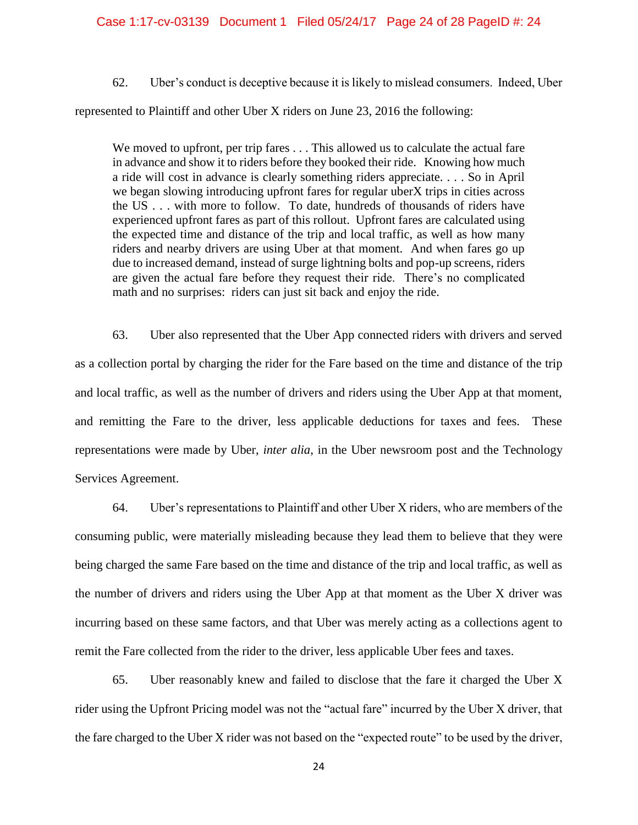62. Uber's conduct is deceptive because it is likely to mislead consumers. Indeed, Uber

represented to Plaintiff and other Uber X riders on June 23, 2016 the following:

We moved to upfront, per trip fares . . . This allowed us to calculate the actual fare in advance and show it to riders before they booked their ride. Knowing how much a ride will cost in advance is clearly something riders appreciate. . . . So in April we began slowing introducing upfront fares for regular uberX trips in cities across the US . . . with more to follow. To date, hundreds of thousands of riders have experienced upfront fares as part of this rollout. Upfront fares are calculated using the expected time and distance of the trip and local traffic, as well as how many riders and nearby drivers are using Uber at that moment. And when fares go up due to increased demand, instead of surge lightning bolts and pop-up screens, riders are given the actual fare before they request their ride. There's no complicated math and no surprises: riders can just sit back and enjoy the ride.

63. Uber also represented that the Uber App connected riders with drivers and served as a collection portal by charging the rider for the Fare based on the time and distance of the trip and local traffic, as well as the number of drivers and riders using the Uber App at that moment, and remitting the Fare to the driver, less applicable deductions for taxes and fees. These representations were made by Uber, *inter alia*, in the Uber newsroom post and the Technology Services Agreement.

64. Uber's representations to Plaintiff and other Uber X riders, who are members of the consuming public, were materially misleading because they lead them to believe that they were being charged the same Fare based on the time and distance of the trip and local traffic, as well as the number of drivers and riders using the Uber App at that moment as the Uber X driver was incurring based on these same factors, and that Uber was merely acting as a collections agent to remit the Fare collected from the rider to the driver, less applicable Uber fees and taxes.

65. Uber reasonably knew and failed to disclose that the fare it charged the Uber X rider using the Upfront Pricing model was not the "actual fare" incurred by the Uber X driver, that the fare charged to the Uber X rider was not based on the "expected route" to be used by the driver,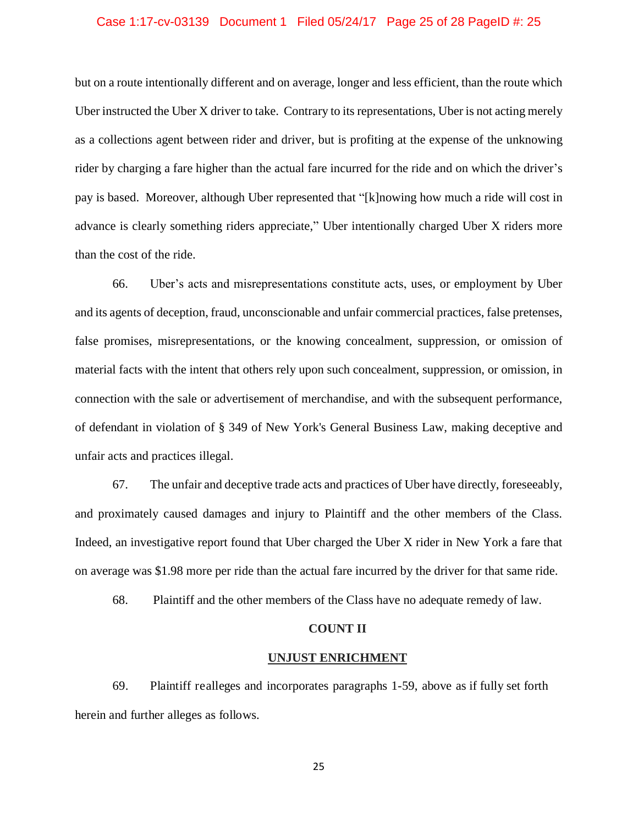#### Case 1:17-cv-03139 Document 1 Filed 05/24/17 Page 25 of 28 PageID #: 25

but on a route intentionally different and on average, longer and less efficient, than the route which Uber instructed the Uber X driver to take. Contrary to its representations, Uber is not acting merely as a collections agent between rider and driver, but is profiting at the expense of the unknowing rider by charging a fare higher than the actual fare incurred for the ride and on which the driver's pay is based. Moreover, although Uber represented that "[k]nowing how much a ride will cost in advance is clearly something riders appreciate," Uber intentionally charged Uber X riders more than the cost of the ride.

66. Uber's acts and misrepresentations constitute acts, uses, or employment by Uber and its agents of deception, fraud, unconscionable and unfair commercial practices, false pretenses, false promises, misrepresentations, or the knowing concealment, suppression, or omission of material facts with the intent that others rely upon such concealment, suppression, or omission, in connection with the sale or advertisement of merchandise, and with the subsequent performance, of defendant in violation of § 349 of New York's General Business Law, making deceptive and unfair acts and practices illegal.

67. The unfair and deceptive trade acts and practices of Uber have directly, foreseeably, and proximately caused damages and injury to Plaintiff and the other members of the Class. Indeed, an investigative report found that Uber charged the Uber X rider in New York a fare that on average was \$1.98 more per ride than the actual fare incurred by the driver for that same ride.

68. Plaintiff and the other members of the Class have no adequate remedy of law.

#### **COUNT II**

#### **UNJUST ENRICHMENT**

69. Plaintiff realleges and incorporates paragraphs 1-59, above as if fully set forth herein and further alleges as follows.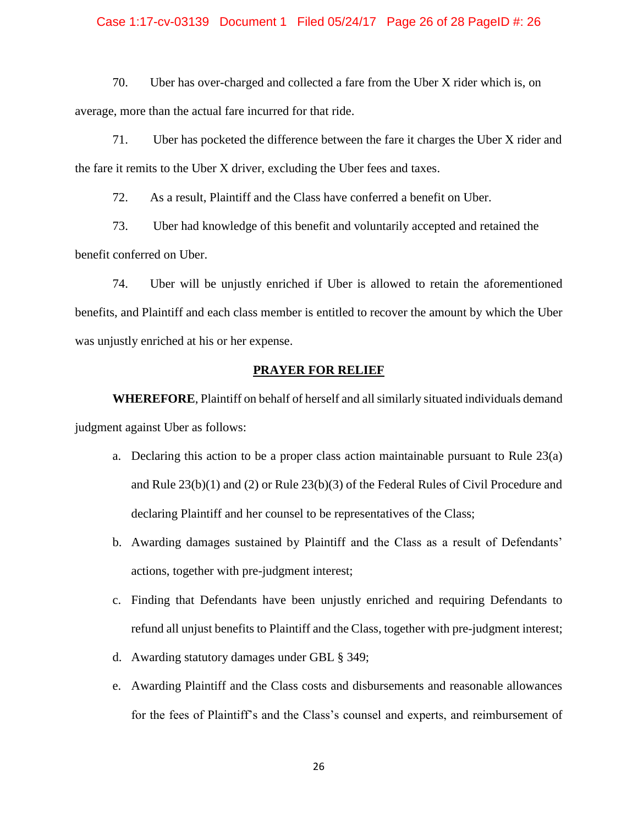### Case 1:17-cv-03139 Document 1 Filed 05/24/17 Page 26 of 28 PageID #: 26

70. Uber has over-charged and collected a fare from the Uber X rider which is, on average, more than the actual fare incurred for that ride.

71. Uber has pocketed the difference between the fare it charges the Uber X rider and the fare it remits to the Uber X driver, excluding the Uber fees and taxes.

72. As a result, Plaintiff and the Class have conferred a benefit on Uber.

73. Uber had knowledge of this benefit and voluntarily accepted and retained the benefit conferred on Uber.

74. Uber will be unjustly enriched if Uber is allowed to retain the aforementioned benefits, and Plaintiff and each class member is entitled to recover the amount by which the Uber was unjustly enriched at his or her expense.

### **PRAYER FOR RELIEF**

**WHEREFORE**, Plaintiff on behalf of herself and all similarly situated individuals demand judgment against Uber as follows:

- a. Declaring this action to be a proper class action maintainable pursuant to Rule 23(a) and Rule 23(b)(1) and (2) or Rule 23(b)(3) of the Federal Rules of Civil Procedure and declaring Plaintiff and her counsel to be representatives of the Class;
- b. Awarding damages sustained by Plaintiff and the Class as a result of Defendants' actions, together with pre-judgment interest;
- c. Finding that Defendants have been unjustly enriched and requiring Defendants to refund all unjust benefits to Plaintiff and the Class, together with pre-judgment interest;
- d. Awarding statutory damages under GBL § 349;
- e. Awarding Plaintiff and the Class costs and disbursements and reasonable allowances for the fees of Plaintiff's and the Class's counsel and experts, and reimbursement of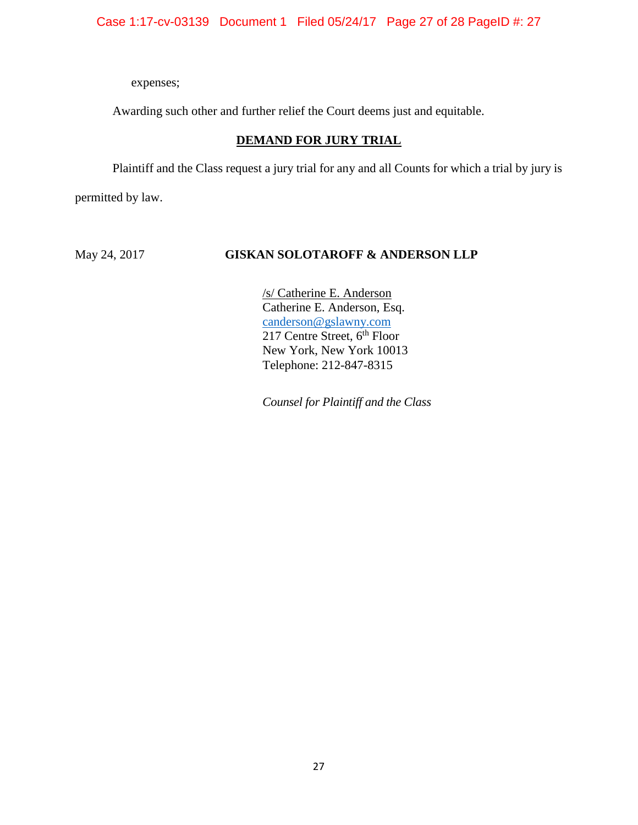Case 1:17-cv-03139 Document 1 Filed 05/24/17 Page 27 of 28 PageID #: 27

expenses;

Awarding such other and further relief the Court deems just and equitable.

# **DEMAND FOR JURY TRIAL**

Plaintiff and the Class request a jury trial for any and all Counts for which a trial by jury is

permitted by law.

# May 24, 2017 **GISKAN SOLOTAROFF & ANDERSON LLP**

/s/ Catherine E. Anderson Catherine E. Anderson, Esq. [canderson@gslawny.com](mailto:canderson@gslawny.com)  $217$  Centre Street,  $6<sup>th</sup>$  Floor New York, New York 10013 Telephone: 212-847-8315

*Counsel for Plaintiff and the Class*